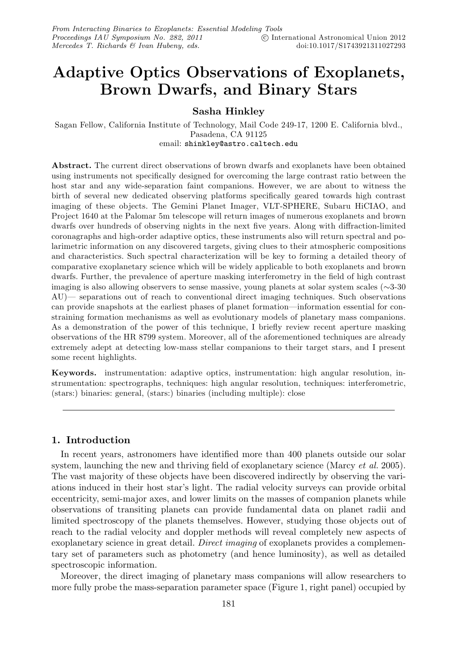# **Adaptive Optics Observations of Exoplanets, Brown Dwarfs, and Binary Stars**

**Sasha Hinkley**

Sagan Fellow, California Institute of Technology, Mail Code 249-17, 1200 E. California blvd., Pasadena, CA 91125 email: shinkley@astro.caltech.edu

**Abstract.** The current direct observations of brown dwarfs and exoplanets have been obtained using instruments not specifically designed for overcoming the large contrast ratio between the host star and any wide-separation faint companions. However, we are about to witness the birth of several new dedicated observing platforms specifically geared towards high contrast imaging of these objects. The Gemini Planet Imager, VLT-SPHERE, Subaru HiCIAO, and Project 1640 at the Palomar 5m telescope will return images of numerous exoplanets and brown dwarfs over hundreds of observing nights in the next five years. Along with diffraction-limited coronagraphs and high-order adaptive optics, these instruments also will return spectral and polarimetric information on any discovered targets, giving clues to their atmospheric compositions and characteristics. Such spectral characterization will be key to forming a detailed theory of comparative exoplanetary science which will be widely applicable to both exoplanets and brown dwarfs. Further, the prevalence of aperture masking interferometry in the field of high contrast imaging is also allowing observers to sense massive, young planets at solar system scales (∼3-30 AU)— separations out of reach to conventional direct imaging techniques. Such observations can provide snapshots at the earliest phases of planet formation—information essential for constraining formation mechanisms as well as evolutionary models of planetary mass companions. As a demonstration of the power of this technique, I briefly review recent aperture masking observations of the HR 8799 system. Moreover, all of the aforementioned techniques are already extremely adept at detecting low-mass stellar companions to their target stars, and I present some recent highlights.

**Keywords.** instrumentation: adaptive optics, instrumentation: high angular resolution, instrumentation: spectrographs, techniques: high angular resolution, techniques: interferometric, (stars:) binaries: general, (stars:) binaries (including multiple): close

## **1. Introduction**

In recent years, astronomers have identified more than 400 planets outside our solar system, launching the new and thriving field of exoplanetary science (Marcy *et al.* 2005). The vast majority of these objects have been discovered indirectly by observing the variations induced in their host star's light. The radial velocity surveys can provide orbital eccentricity, semi-major axes, and lower limits on the masses of companion planets while observations of transiting planets can provide fundamental data on planet radii and limited spectroscopy of the planets themselves. However, studying those objects out of reach to the radial velocity and doppler methods will reveal completely new aspects of exoplanetary science in great detail. Direct imaging of exoplanets provides a complementary set of parameters such as photometry (and hence luminosity), as well as detailed spectroscopic information.

Moreover, the direct imaging of planetary mass companions will allow researchers to more fully probe the mass-separation parameter space (Figure 1, right panel) occupied by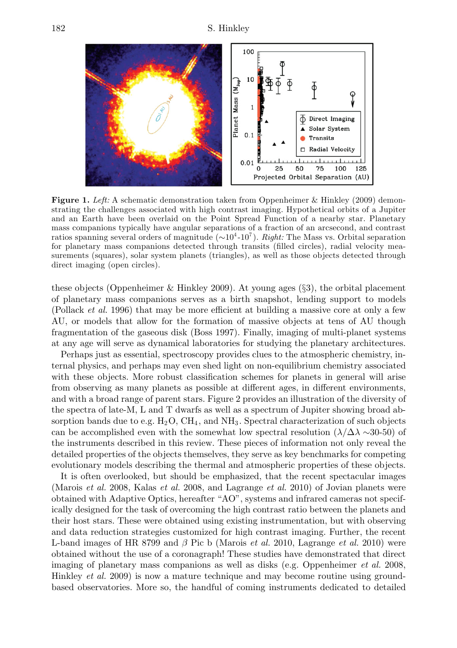

**Figure 1.** Left: A schematic demonstration taken from Oppenheimer & Hinkley (2009) demonstrating the challenges associated with high contrast imaging. Hypothetical orbits of a Jupiter and an Earth have been overlaid on the Point Spread Function of a nearby star. Planetary mass companions typically have angular separations of a fraction of an arcsecond, and contrast ratios spanning several orders of magnitude  $({\sim}10^{4}$ - $10^{7})$ . Right: The Mass vs. Orbital separation for planetary mass companions detected through transits (filled circles), radial velocity measurements (squares), solar system planets (triangles), as well as those objects detected through direct imaging (open circles).

these objects (Oppenheimer & Hinkley 2009). At young ages (§3), the orbital placement of planetary mass companions serves as a birth snapshot, lending support to models (Pollack *et al.* 1996) that may be more efficient at building a massive core at only a few AU, or models that allow for the formation of massive objects at tens of AU though fragmentation of the gaseous disk (Boss 1997). Finally, imaging of multi-planet systems at any age will serve as dynamical laboratories for studying the planetary architectures.

Perhaps just as essential, spectroscopy provides clues to the atmospheric chemistry, internal physics, and perhaps may even shed light on non-equilibrium chemistry associated with these objects. More robust classification schemes for planets in general will arise from observing as many planets as possible at different ages, in different environments, and with a broad range of parent stars. Figure 2 provides an illustration of the diversity of the spectra of late-M, L and T dwarfs as well as a spectrum of Jupiter showing broad absorption bands due to e.g.  $H_2O$ ,  $CH_4$ , and  $NH_3$ . Spectral characterization of such objects can be accomplished even with the somewhat low spectral resolution  $(\lambda/\Delta\lambda \sim 30-50)$  of the instruments described in this review. These pieces of information not only reveal the detailed properties of the objects themselves, they serve as key benchmarks for competing evolutionary models describing the thermal and atmospheric properties of these objects.

It is often overlooked, but should be emphasized, that the recent spectacular images (Marois *et al.* 2008, Kalas *et al.* 2008, and Lagrange *et al.* 2010) of Jovian planets were obtained with Adaptive Optics, hereafter "AO", systems and infrared cameras not specifically designed for the task of overcoming the high contrast ratio between the planets and their host stars. These were obtained using existing instrumentation, but with observing and data reduction strategies customized for high contrast imaging. Further, the recent L-band images of HR 8799 and  $\beta$  Pic b (Marois *et al.* 2010, Lagrange *et al.* 2010) were obtained without the use of a coronagraph! These studies have demonstrated that direct imaging of planetary mass companions as well as disks (e.g. Oppenheimer *et al.* 2008, Hinkley *et al.* 2009) is now a mature technique and may become routine using groundbased observatories. More so, the handful of coming instruments dedicated to detailed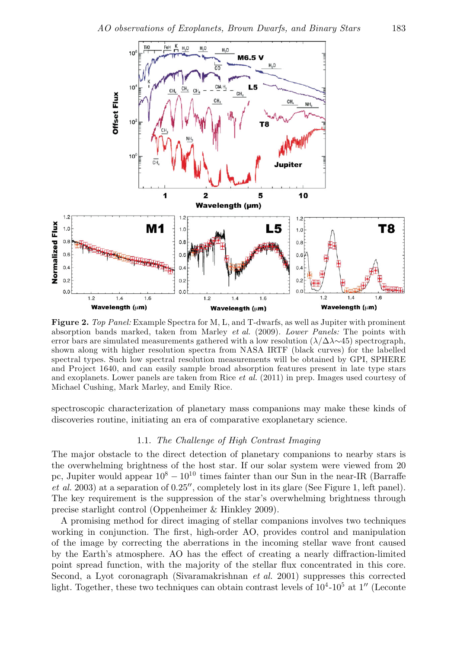

**Figure 2.** Top Panel: Example Spectra for M, L, and T-dwarfs, as well as Jupiter with prominent absorption bands marked, taken from Marley et al. (2009). Lower Panels: The points with error bars are simulated measurements gathered with a low resolution  $(\lambda/\Delta\lambda \sim 45)$  spectrograph, shown along with higher resolution spectra from NASA IRTF (black curves) for the labelled spectral types. Such low spectral resolution measurements will be obtained by GPI, SPHERE and Project 1640, and can easily sample broad absorption features present in late type stars and exoplanets. Lower panels are taken from Rice *et al.* (2011) in prep. Images used courtesy of Michael Cushing, Mark Marley, and Emily Rice.

spectroscopic characterization of planetary mass companions may make these kinds of discoveries routine, initiating an era of comparative exoplanetary science.

### 1.1. The Challenge of High Contrast Imaging

The major obstacle to the direct detection of planetary companions to nearby stars is the overwhelming brightness of the host star. If our solar system were viewed from 20 pc, Jupiter would appear  $10^8 - 10^{10}$  times fainter than our Sun in the near-IR (Barraffe  $et \ al. 2003$ ) at a separation of  $0.25''$ , completely lost in its glare (See Figure 1, left panel). The key requirement is the suppression of the star's overwhelming brightness through precise starlight control (Oppenheimer & Hinkley 2009).

A promising method for direct imaging of stellar companions involves two techniques working in conjunction. The first, high-order AO, provides control and manipulation of the image by correcting the aberrations in the incoming stellar wave front caused by the Earth's atmosphere. AO has the effect of creating a nearly diffraction-limited point spread function, with the majority of the stellar flux concentrated in this core. Second, a Lyot coronagraph (Sivaramakrishnan *et al.* 2001) suppresses this corrected light. Together, these two techniques can obtain contrast levels of  $10^4$ - $10^5$  at  $1''$  (Leconte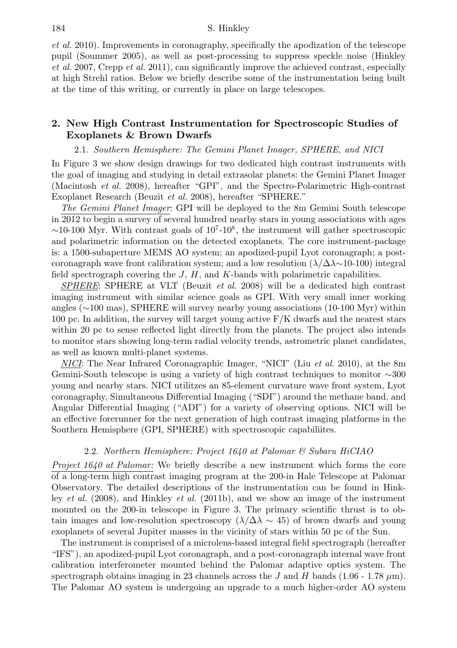et al. 2010). Improvements in coronagraphy, specifically the apodization of the telescope pupil (Soummer 2005), as well as post-processing to suppress speckle noise (Hinkley et al. 2007, Crepp et al. 2011), can significantly improve the achieved contrast, especially at high Strehl ratios. Below we briefly describe some of the instrumentation being built at the time of this writing, or currently in place on large telescopes.

# **2. New High Contrast Instrumentation for Spectroscopic Studies of Exoplanets & Brown Dwarfs**

2.1. Southern Hemisphere: The Gemini Planet Imager, SPHERE, and NICI

In Figure 3 we show design drawings for two dedicated high contrast instruments with the goal of imaging and studying in detail extrasolar planets: the Gemini Planet Imager (Macintosh et al. 2008), hereafter "GPI", and the Spectro-Polarimetric High-contrast Exoplanet Research (Beuzit et al. 2008), hereafter "SPHERE."

The Gemini Planet Imager: GPI will be deployed to the 8m Gemini South telescope in 2012 to begin a survey of several hundred nearby stars in young associations with ages  $\sim$ 10-100 Myr. With contrast goals of 10<sup>7</sup>-10<sup>8</sup>, the instrument will gather spectroscopic and polarimetric information on the detected exoplanets. The core instrument-package is: a 1500-subaperture MEMS AO system; an apodized-pupil Lyot coronagraph; a postcoronagraph wave front calibration system; and a low resolution  $(\lambda/\Delta\lambda \sim 10^{-100})$  integral field spectrograph covering the  $J, H$ , and  $K$ -bands with polarimetric capabilities.

SPHERE: SPHERE at VLT (Beuzit *et al.* 2008) will be a dedicated high contrast imaging instrument with similar science goals as GPI. With very small inner working angles (∼100 mas), SPHERE will survey nearby young associations (10-100 Myr) within 100 pc. In addition, the survey will target young active  $F/K$  dwarfs and the nearest stars within 20 pc to sense reflected light directly from the planets. The project also intends to monitor stars showing long-term radial velocity trends, astrometric planet candidates, as well as known multi-planet systems.

NICI: The Near Infrared Coronagraphic Imager, "NICI" (Liu et al. 2010), at the 8m Gemini-South telescope is using a variety of high contrast techniques to monitor ∼300 young and nearby stars. NICI utilitzes an 85-element curvature wave front system, Lyot coronagraphy, Simultaneous Differential Imaging ("SDI") around the methane band, and Angular Differential Imaging ("ADI") for a variety of observing options. NICI will be an effective forerunner for the next generation of high contrast imaging platforms in the Southern Hemisphere (GPI, SPHERE) with spectroscopic capabiliites.

#### 2.2. Northern Hemisphere: Project 1640 at Palomar & Subaru HiCIAO

Project 1640 at Palomar: We briefly describe a new instrument which forms the core of a long-term high contrast imaging program at the 200-in Hale Telescope at Palomar Observatory. The detailed descriptions of the instrumentation can be found in Hinkley *et al.* (2008), and Hinkley *et al.* (2011b), and we show an image of the instrument mounted on the 200-in telescope in Figure 3. The primary scientific thrust is to obtain images and low-resolution spectroscopy ( $\lambda/\Delta\lambda \sim 45$ ) of brown dwarfs and young exoplanets of several Jupiter masses in the vicinity of stars within 50 pc of the Sun.

The instrument is comprised of a microlens-based integral field spectrograph (hereafter "IFS"), an apodized-pupil Lyot coronagraph, and a post-coronagraph internal wave front calibration interferometer mounted behind the Palomar adaptive optics system. The spectrograph obtains imaging in 23 channels across the J and H bands  $(1.06 - 1.78 \,\mu m)$ . The Palomar AO system is undergoing an upgrade to a much higher-order AO system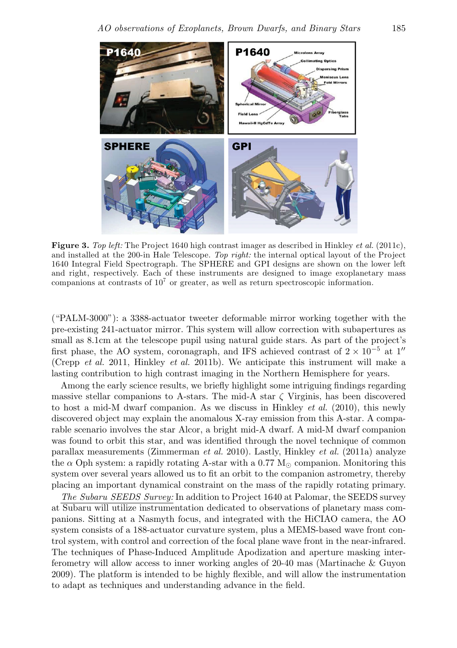

**Figure 3.** Top left: The Project 1640 high contrast imager as described in Hinkley et al. (2011c), and installed at the 200-in Hale Telescope. Top right: the internal optical layout of the Project 1640 Integral Field Spectrograph. The SPHERE and GPI designs are shown on the lower left and right, respectively. Each of these instruments are designed to image exoplanetary mass companions at contrasts of  $10<sup>7</sup>$  or greater, as well as return spectroscopic information.

("PALM-3000"): a 3388-actuator tweeter deformable mirror working together with the pre-existing 241-actuator mirror. This system will allow correction with subapertures as small as 8.1cm at the telescope pupil using natural guide stars. As part of the project's first phase, the AO system, coronagraph, and IFS achieved contrast of  $2 \times 10^{-5}$  at 1<sup>"</sup> (Crepp et al. 2011, Hinkley et al. 2011b). We anticipate this instrument will make a lasting contribution to high contrast imaging in the Northern Hemisphere for years.

Among the early science results, we briefly highlight some intriguing findings regarding massive stellar companions to A-stars. The mid-A star  $\zeta$  Virginis, has been discovered to host a mid-M dwarf companion. As we discuss in Hinkley *et al.* (2010), this newly discovered object may explain the anomalous X-ray emission from this A-star. A comparable scenario involves the star Alcor, a bright mid-A dwarf. A mid-M dwarf companion was found to orbit this star, and was identified through the novel technique of common parallax measurements (Zimmerman et al. 2010). Lastly, Hinkley et al. (2011a) analyze the  $\alpha$  Oph system: a rapidly rotating A-star with a 0.77 M<sub>o</sub> companion. Monitoring this system over several years allowed us to fit an orbit to the companion astrometry, thereby placing an important dynamical constraint on the mass of the rapidly rotating primary.

The Subaru SEEDS Survey: In addition to Project 1640 at Palomar, the SEEDS survey at Subaru will utilize instrumentation dedicated to observations of planetary mass companions. Sitting at a Nasmyth focus, and integrated with the HiCIAO camera, the AO system consists of a 188-actuator curvature system, plus a MEMS-based wave front control system, with control and correction of the focal plane wave front in the near-infrared. The techniques of Phase-Induced Amplitude Apodization and aperture masking interferometry will allow access to inner working angles of 20-40 mas (Martinache & Guyon 2009). The platform is intended to be highly flexible, and will allow the instrumentation to adapt as techniques and understanding advance in the field.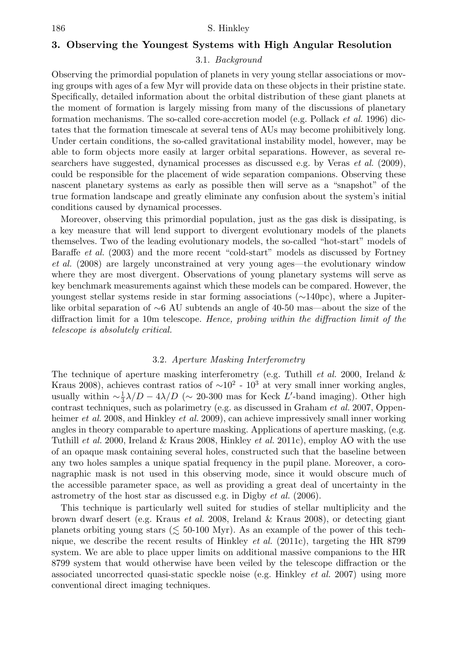#### **3. Observing the Youngest Systems with High Angular Resolution**

#### 3.1. Background

Observing the primordial population of planets in very young stellar associations or moving groups with ages of a few Myr will provide data on these objects in their pristine state. Specifically, detailed information about the orbital distribution of these giant planets at the moment of formation is largely missing from many of the discussions of planetary formation mechanisms. The so-called core-accretion model (e.g. Pollack *et al.* 1996) dictates that the formation timescale at several tens of AUs may become prohibitively long. Under certain conditions, the so-called gravitational instability model, however, may be able to form objects more easily at larger orbital separations. However, as several researchers have suggested, dynamical processes as discussed e.g. by Veras  $et al. (2009)$ , could be responsible for the placement of wide separation companions. Observing these nascent planetary systems as early as possible then will serve as a "snapshot" of the true formation landscape and greatly eliminate any confusion about the system's initial conditions caused by dynamical processes.

Moreover, observing this primordial population, just as the gas disk is dissipating, is a key measure that will lend support to divergent evolutionary models of the planets themselves. Two of the leading evolutionary models, the so-called "hot-start" models of Baraffe *et al.* (2003) and the more recent "cold-start" models as discussed by Fortney et al. (2008) are largely unconstrained at very young ages—the evolutionary window where they are most divergent. Observations of young planetary systems will serve as key benchmark measurements against which these models can be compared. However, the youngest stellar systems reside in star forming associations (∼140pc), where a Jupiterlike orbital separation of ∼6 AU subtends an angle of 40-50 mas—about the size of the diffraction limit for a 10m telescope. Hence, probing within the diffraction limit of the telescope is absolutely critical.

#### 3.2. Aperture Masking Interferometry

The technique of aperture masking interferometry (e.g. Tuthill  $et$  al. 2000, Ireland  $\&$ Kraus 2008), achieves contrast ratios of  $\sim 10^2$  - 10<sup>3</sup> at very small inner working angles, usually within  $\sim \frac{1}{3} \lambda/D - 4\lambda/D$  ( $\sim 20$ -300 mas for Keck L'-band imaging). Other high contrast techniques, such as polarimetry (e.g. as discussed in Graham *et al.* 2007, Oppenheimer *et al.* 2008, and Hinkley *et al.* 2009), can achieve impressively small inner working angles in theory comparable to aperture masking. Applications of aperture masking, (e.g. Tuthill et al. 2000, Ireland & Kraus 2008, Hinkley et al. 2011c), employ AO with the use of an opaque mask containing several holes, constructed such that the baseline between any two holes samples a unique spatial frequency in the pupil plane. Moreover, a coronagraphic mask is not used in this observing mode, since it would obscure much of the accessible parameter space, as well as providing a great deal of uncertainty in the astrometry of the host star as discussed e.g. in Digby *et al.* (2006).

This technique is particularly well suited for studies of stellar multiplicity and the brown dwarf desert (e.g. Kraus et al. 2008, Ireland & Kraus 2008), or detecting giant planets orbiting young stars ( $\leq 50$ -100 Myr). As an example of the power of this technique, we describe the recent results of Hinkley *et al.* (2011c), targeting the HR 8799 system. We are able to place upper limits on additional massive companions to the HR 8799 system that would otherwise have been veiled by the telescope diffraction or the associated uncorrected quasi-static speckle noise (e.g. Hinkley *et al.* 2007) using more conventional direct imaging techniques.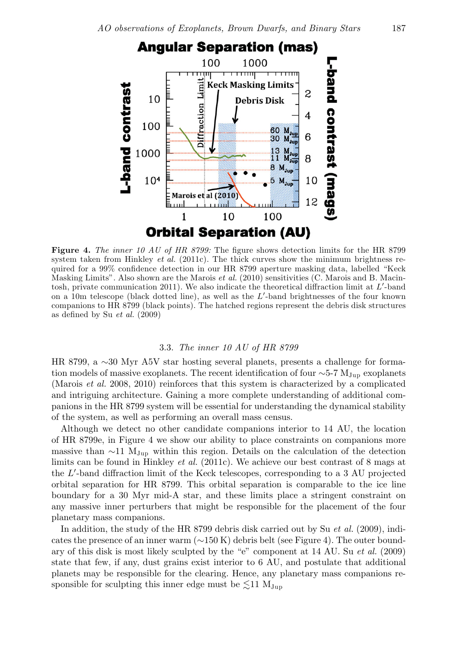

**Figure 4.** The inner 10 AU of HR 8799: The figure shows detection limits for the HR 8799 system taken from Hinkley *et al.* (2011c). The thick curves show the minimum brightness required for a 99% confidence detection in our HR 8799 aperture masking data, labelled "Keck Masking Limits". Also shown are the Marois *et al.* (2010) sensitivities (C. Marois and B. Macintosh, private communication 2011). We also indicate the theoretical diffraction limit at L'-band on a 10m telescope (black dotted line), as well as the  $L'$ -band brightnesses of the four known companions to HR 8799 (black points). The hatched regions represent the debris disk structures as defined by Su et al. (2009)

#### 3.3. The inner 10 AU of HR 8799

HR 8799, a ∼30 Myr A5V star hosting several planets, presents a challenge for formation models of massive exoplanets. The recent identification of four  $\sim$ 5-7 M<sub>Jup</sub> exoplanets (Marois *et al.* 2008, 2010) reinforces that this system is characterized by a complicated and intriguing architecture. Gaining a more complete understanding of additional companions in the HR 8799 system will be essential for understanding the dynamical stability of the system, as well as performing an overall mass census.

Although we detect no other candidate companions interior to 14 AU, the location of HR 8799e, in Figure 4 we show our ability to place constraints on companions more massive than ∼11  $M_{Jup}$  within this region. Details on the calculation of the detection limits can be found in Hinkley *et al.* (2011c). We achieve our best contrast of 8 mags at the L -band diffraction limit of the Keck telescopes, corresponding to a 3 AU projected orbital separation for HR 8799. This orbital separation is comparable to the ice line boundary for a 30 Myr mid-A star, and these limits place a stringent constraint on any massive inner perturbers that might be responsible for the placement of the four planetary mass companions.

In addition, the study of the HR 8799 debris disk carried out by Su *et al.* (2009), indicates the presence of an inner warm (∼150 K) debris belt (see Figure 4). The outer boundary of this disk is most likely sculpted by the "e" component at  $14 \text{ AU}$ . Su *et al.* (2009) state that few, if any, dust grains exist interior to 6 AU, and postulate that additional planets may be responsible for the clearing. Hence, any planetary mass companions responsible for sculpting this inner edge must be  $\leq 11$  M<sub>Jup</sub>